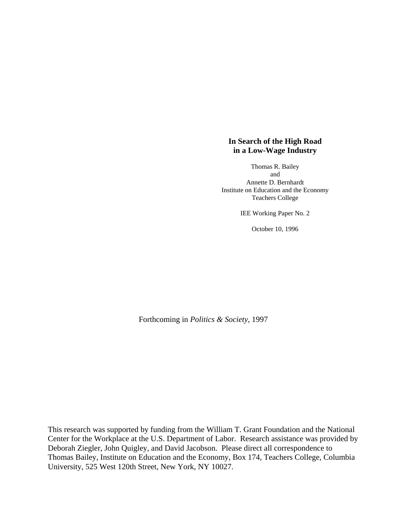# **In Search of the High Road in a Low-Wage Industry**

Thomas R. Bailey and Annette D. Bernhardt Institute on Education and the Economy Teachers College

IEE Working Paper No. 2

October 10, 1996

Forthcoming in *Politics & Society*, 1997

This research was supported by funding from the William T. Grant Foundation and the National Center for the Workplace at the U.S. Department of Labor. Research assistance was provided by Deborah Ziegler, John Quigley, and David Jacobson. Please direct all correspondence to Thomas Bailey, Institute on Education and the Economy, Box 174, Teachers College, Columbia University, 525 West 120th Street, New York, NY 10027.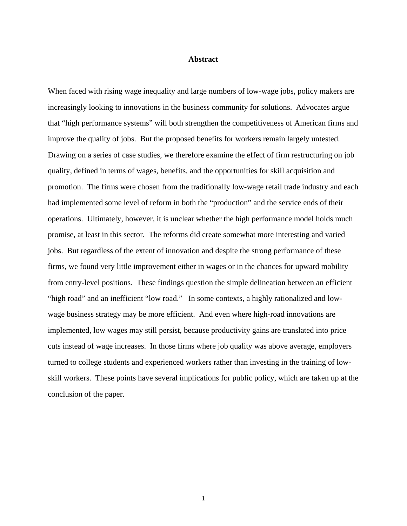## **Abstract**

When faced with rising wage inequality and large numbers of low-wage jobs, policy makers are increasingly looking to innovations in the business community for solutions. Advocates argue that "high performance systems" will both strengthen the competitiveness of American firms and improve the quality of jobs. But the proposed benefits for workers remain largely untested. Drawing on a series of case studies, we therefore examine the effect of firm restructuring on job quality, defined in terms of wages, benefits, and the opportunities for skill acquisition and promotion. The firms were chosen from the traditionally low-wage retail trade industry and each had implemented some level of reform in both the "production" and the service ends of their operations. Ultimately, however, it is unclear whether the high performance model holds much promise, at least in this sector. The reforms did create somewhat more interesting and varied jobs. But regardless of the extent of innovation and despite the strong performance of these firms, we found very little improvement either in wages or in the chances for upward mobility from entry-level positions. These findings question the simple delineation between an efficient "high road" and an inefficient "low road." In some contexts, a highly rationalized and lowwage business strategy may be more efficient. And even where high-road innovations are implemented, low wages may still persist, because productivity gains are translated into price cuts instead of wage increases. In those firms where job quality was above average, employers turned to college students and experienced workers rather than investing in the training of lowskill workers. These points have several implications for public policy, which are taken up at the conclusion of the paper.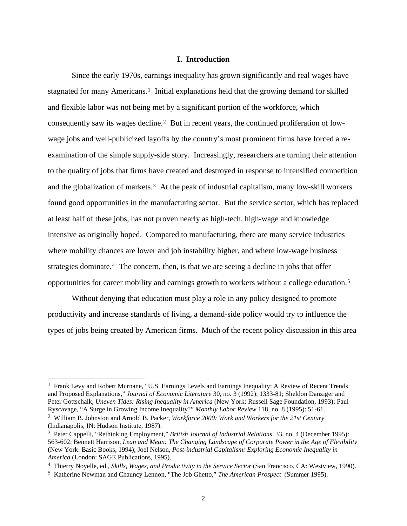# **I. Introduction**

 Since the early 1970s, earnings inequality has grown significantly and real wages have stagnated for many Americans.<sup>[1](#page-2-0)</sup> Initial explanations held that the growing demand for skilled and flexible labor was not being met by a significant portion of the workforce, which consequently saw its wages decline.[2](#page-2-1) But in recent years, the continued proliferation of lowwage jobs and well-publicized layoffs by the country's most prominent firms have forced a reexamination of the simple supply-side story. Increasingly, researchers are turning their attention to the quality of jobs that firms have created and destroyed in response to intensified competition and the globalization of markets.[3](#page-2-2) At the peak of industrial capitalism, many low-skill workers found good opportunities in the manufacturing sector. But the service sector, which has replaced at least half of these jobs, has not proven nearly as high-tech, high-wage and knowledge intensive as originally hoped. Compared to manufacturing, there are many service industries where mobility chances are lower and job instability higher, and where low-wage business strategies dominate.<sup>[4](#page-2-3)</sup> The concern, then, is that we are seeing a decline in jobs that offer opportunities for career mobility and earnings growth to workers without a college education.[5](#page-2-4)

 Without denying that education must play a role in any policy designed to promote productivity and increase standards of living, a demand-side policy would try to influence the types of jobs being created by American firms. Much of the recent policy discussion in this area

<span id="page-2-0"></span> $<sup>1</sup>$  Frank Levy and Robert Murnane, "U.S. Earnings Levels and Earnings Inequality: A Review of Recent Trends</sup> and Proposed Explanations," *Journal of Economic Literature* 30, no. 3 (1992): 1333-81; Sheldon Danziger and Peter Gottschalk, *Uneven Tides: Rising Inequality in America* (New York: Russell Sage Foundation, 1993); Paul Ryscavage, "A Surge in Growing Income Inequality?" *Monthly Labor Review* 118, no. 8 (1995): 51-61.

<span id="page-2-1"></span><sup>2</sup> William B. Johnston and Arnold B. Packer, *Workforce 2000: Work and Workers for the 21st Century* (Indianapolis, IN: Hudson Institute, 1987).

<span id="page-2-2"></span><sup>3</sup> Peter Cappelli, "Rethinking Employment," *British Journal of Industrial Relations* 33, no. 4 (December 1995): 563-602; Bennett Harrison, *Lean and Mean: The Changing Landscape of Corporate Power in the Age of Flexibility* (New York: Basic Books, 1994); Joel Nelson, *Post-industrial Capitalism: Exploring Economic Inequality in America* (London: SAGE Publications, 1995).

<span id="page-2-3"></span><sup>4</sup> Thierry Noyelle, ed., *Skills, Wages, and Productivity in the Service Sector* (San Francisco, CA: Westview, 1990).

<span id="page-2-4"></span><sup>5</sup> Katherine Newman and Chauncy Lennon, "The Job Ghetto," *The American Prospect* (Summer 1995).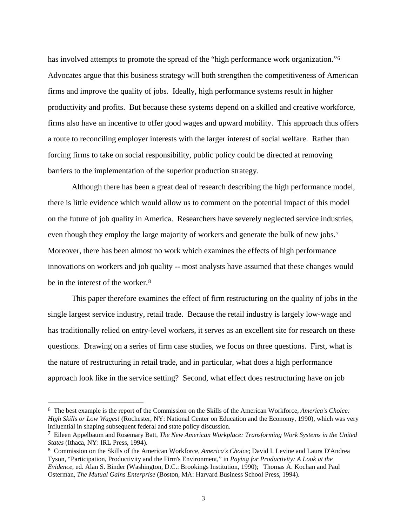has involved attempts to promote the spread of the "high performance work organization."<sup>[6](#page-3-0)</sup> Advocates argue that this business strategy will both strengthen the competitiveness of American firms and improve the quality of jobs. Ideally, high performance systems result in higher productivity and profits. But because these systems depend on a skilled and creative workforce, firms also have an incentive to offer good wages and upward mobility. This approach thus offers a route to reconciling employer interests with the larger interest of social welfare. Rather than forcing firms to take on social responsibility, public policy could be directed at removing barriers to the implementation of the superior production strategy.

 Although there has been a great deal of research describing the high performance model, there is little evidence which would allow us to comment on the potential impact of this model on the future of job quality in America. Researchers have severely neglected service industries, even though they employ the large majority of workers and generate the bulk of new jobs[.7](#page-3-1) Moreover, there has been almost no work which examines the effects of high performance innovations on workers and job quality -- most analysts have assumed that these changes would be in the interest of the worker.[8](#page-3-2)

 This paper therefore examines the effect of firm restructuring on the quality of jobs in the single largest service industry, retail trade. Because the retail industry is largely low-wage and has traditionally relied on entry-level workers, it serves as an excellent site for research on these questions. Drawing on a series of firm case studies, we focus on three questions. First, what is the nature of restructuring in retail trade, and in particular, what does a high performance approach look like in the service setting? Second, what effect does restructuring have on job

<span id="page-3-0"></span><sup>6</sup> The best example is the report of the Commission on the Skills of the American Workforce, *America's Choice: High Skills or Low Wages!* (Rochester, NY: National Center on Education and the Economy, 1990), which was very influential in shaping subsequent federal and state policy discussion.

<span id="page-3-1"></span><sup>7</sup> Eileen Appelbaum and Rosemary Batt, *The New American Workplace: Transforming Work Systems in the United States* (Ithaca, NY: IRL Press, 1994).

<span id="page-3-2"></span><sup>8</sup> Commission on the Skills of the American Workforce, *America's Choice*; David I. Levine and Laura D'Andrea Tyson, "Participation, Productivity and the Firm's Environment," in *Paying for Productivity: A Look at the Evidence*, ed. Alan S. Binder (Washington, D.C.: Brookings Institution, 1990); Thomas A. Kochan and Paul Osterman, *The Mutual Gains Enterprise* (Boston, MA: Harvard Business School Press, 1994).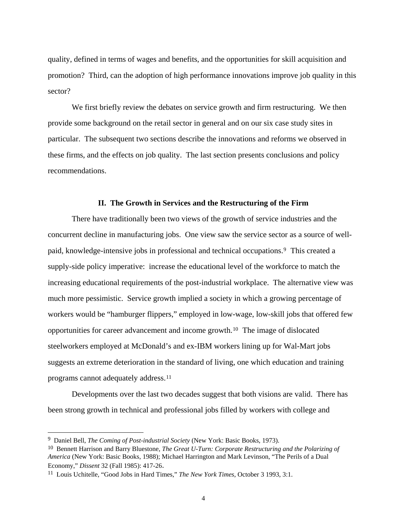quality, defined in terms of wages and benefits, and the opportunities for skill acquisition and promotion? Third, can the adoption of high performance innovations improve job quality in this sector?

We first briefly review the debates on service growth and firm restructuring. We then provide some background on the retail sector in general and on our six case study sites in particular. The subsequent two sections describe the innovations and reforms we observed in these firms, and the effects on job quality. The last section presents conclusions and policy recommendations.

### **II. The Growth in Services and the Restructuring of the Firm**

 There have traditionally been two views of the growth of service industries and the concurrent decline in manufacturing jobs. One view saw the service sector as a source of wellpaid, knowledge-intensive jobs in professional and technical occupations.[9](#page-4-0) This created a supply-side policy imperative: increase the educational level of the workforce to match the increasing educational requirements of the post-industrial workplace. The alternative view was much more pessimistic. Service growth implied a society in which a growing percentage of workers would be "hamburger flippers," employed in low-wage, low-skill jobs that offered few opportunities for career advancement and income growth.[10](#page-4-1) The image of dislocated steelworkers employed at McDonald's and ex-IBM workers lining up for Wal-Mart jobs suggests an extreme deterioration in the standard of living, one which education and training programs cannot adequately address.[11](#page-4-2)

 Developments over the last two decades suggest that both visions are valid. There has been strong growth in technical and professional jobs filled by workers with college and

<span id="page-4-0"></span><sup>9</sup> Daniel Bell, *The Coming of Post-industrial Society* (New York: Basic Books, 1973).

<span id="page-4-1"></span><sup>10</sup> Bennett Harrison and Barry Bluestone, *The Great U-Turn: Corporate Restructuring and the Polarizing of America* (New York: Basic Books, 1988); Michael Harrington and Mark Levinson, "The Perils of a Dual Economy," *Dissent* 32 (Fall 1985): 417-26.

<span id="page-4-2"></span><sup>11</sup> Louis Uchitelle, "Good Jobs in Hard Times," *The New York Times*, October 3 1993, 3:1.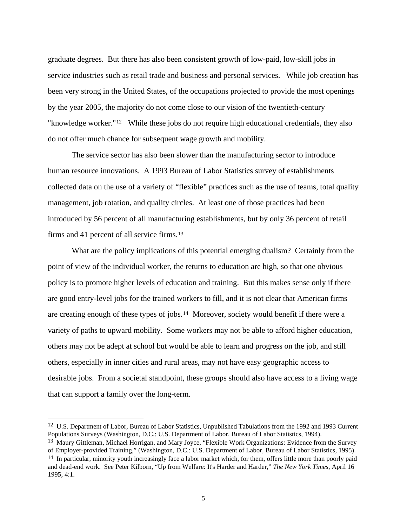graduate degrees. But there has also been consistent growth of low-paid, low-skill jobs in service industries such as retail trade and business and personal services. While job creation has been very strong in the United States, of the occupations projected to provide the most openings by the year 2005, the majority do not come close to our vision of the twentieth-century "knowledge worker."[12](#page-5-0) While these jobs do not require high educational credentials, they also do not offer much chance for subsequent wage growth and mobility.

 The service sector has also been slower than the manufacturing sector to introduce human resource innovations. A 1993 Bureau of Labor Statistics survey of establishments collected data on the use of a variety of "flexible" practices such as the use of teams, total quality management, job rotation, and quality circles. At least one of those practices had been introduced by 56 percent of all manufacturing establishments, but by only 36 percent of retail firms and 41 percent of all service firms.[13](#page-5-1)

 What are the policy implications of this potential emerging dualism? Certainly from the point of view of the individual worker, the returns to education are high, so that one obvious policy is to promote higher levels of education and training. But this makes sense only if there are good entry-level jobs for the trained workers to fill, and it is not clear that American firms are creating enough of these types of jobs.[14](#page-5-2) Moreover, society would benefit if there were a variety of paths to upward mobility. Some workers may not be able to afford higher education, others may not be adept at school but would be able to learn and progress on the job, and still others, especially in inner cities and rural areas, may not have easy geographic access to desirable jobs. From a societal standpoint, these groups should also have access to a living wage that can support a family over the long-term.

<span id="page-5-0"></span><sup>&</sup>lt;sup>12</sup> U.S. Department of Labor, Bureau of Labor Statistics, Unpublished Tabulations from the 1992 and 1993 Current Populations Surveys (Washington, D.C.: U.S. Department of Labor, Bureau of Labor Statistics, 1994).

<span id="page-5-1"></span><sup>13</sup> Maury Gittleman, Michael Horrigan, and Mary Joyce, "Flexible Work Organizations: Evidence from the Survey of Employer-provided Training," (Washington, D.C.: U.S. Department of Labor, Bureau of Labor Statistics, 1995).

<span id="page-5-2"></span><sup>&</sup>lt;sup>14</sup> In particular, minority youth increasingly face a labor market which, for them, offers little more than poorly paid and dead-end work. See Peter Kilborn, "Up from Welfare: It's Harder and Harder," *The New York Times*, April 16 1995, 4:1.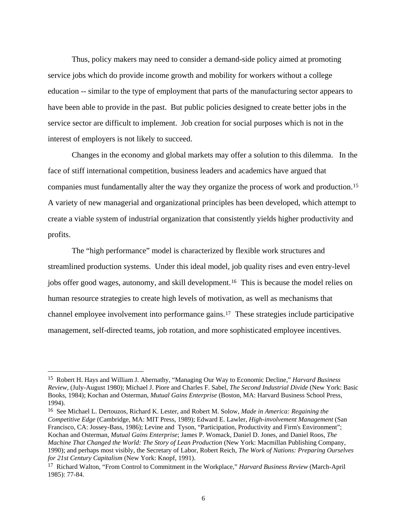Thus, policy makers may need to consider a demand-side policy aimed at promoting service jobs which do provide income growth and mobility for workers without a college education -- similar to the type of employment that parts of the manufacturing sector appears to have been able to provide in the past. But public policies designed to create better jobs in the service sector are difficult to implement. Job creation for social purposes which is not in the interest of employers is not likely to succeed.

 Changes in the economy and global markets may offer a solution to this dilemma. In the face of stiff international competition, business leaders and academics have argued that companies must fundamentally alter the way they organize the process of work and production.[15](#page-6-0) A variety of new managerial and organizational principles has been developed, which attempt to create a viable system of industrial organization that consistently yields higher productivity and profits.

 The "high performance" model is characterized by flexible work structures and streamlined production systems. Under this ideal model, job quality rises and even entry-level jobs offer good wages, autonomy, and skill development.[16](#page-6-1) This is because the model relies on human resource strategies to create high levels of motivation, as well as mechanisms that channel employee involvement into performance gains.[17](#page-6-2) These strategies include participative management, self-directed teams, job rotation, and more sophisticated employee incentives.

<span id="page-6-0"></span><sup>15</sup> Robert H. Hays and William J. Abernathy, "Managing Our Way to Economic Decline," *Harvard Business Review,* (July-August 1980); Michael J. Piore and Charles F. Sabel, *The Second Industrial Divide* (New York: Basic Books, 1984); Kochan and Osterman, *Mutual Gains Enterprise* (Boston, MA: Harvard Business School Press, 1994).

<span id="page-6-1"></span><sup>16</sup> See Michael L. Dertouzos, Richard K. Lester, and Robert M. Solow, *Made in America: Regaining the Competitive Edge* (Cambridge, MA: MIT Press, 1989); Edward E. Lawler, *High-involvement Management* (San Francisco, CA: Jossey-Bass, 1986); Levine and Tyson, "Participation, Productivity and Firm's Environment"; Kochan and Osterman, *Mutual Gains Enterprise*; James P. Womack, Daniel D. Jones, and Daniel Roos, *The Machine That Changed the World: The Story of Lean Production* (New York: Macmillan Publishing Company, 1990); and perhaps most visibly, the Secretary of Labor, Robert Reich, *The Work of Nations: Preparing Ourselves for 21st Century Capitalism* (New York: Knopf, 1991).

<span id="page-6-2"></span><sup>17</sup> Richard Walton, "From Control to Commitment in the Workplace," *Harvard Business Review* (March-April 1985): 77-84.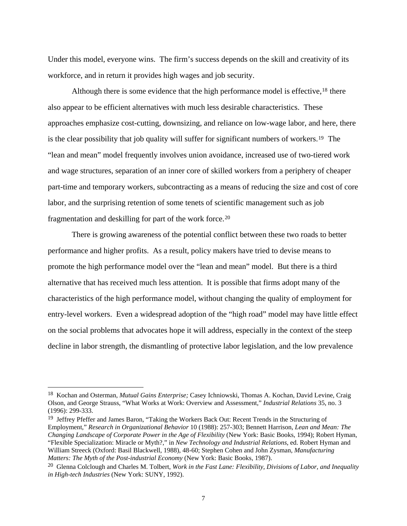Under this model, everyone wins. The firm's success depends on the skill and creativity of its workforce, and in return it provides high wages and job security.

Although there is some evidence that the high performance model is effective,<sup>[18](#page-7-0)</sup> there also appear to be efficient alternatives with much less desirable characteristics. These approaches emphasize cost-cutting, downsizing, and reliance on low-wage labor, and here, there is the clear possibility that job quality will suffer for significant numbers of workers.[19](#page-7-1) The "lean and mean" model frequently involves union avoidance, increased use of two-tiered work and wage structures, separation of an inner core of skilled workers from a periphery of cheaper part-time and temporary workers, subcontracting as a means of reducing the size and cost of core labor, and the surprising retention of some tenets of scientific management such as job fragmentation and deskilling for part of the work force.[20](#page-7-2)

 There is growing awareness of the potential conflict between these two roads to better performance and higher profits. As a result, policy makers have tried to devise means to promote the high performance model over the "lean and mean" model. But there is a third alternative that has received much less attention. It is possible that firms adopt many of the characteristics of the high performance model, without changing the quality of employment for entry-level workers. Even a widespread adoption of the "high road" model may have little effect on the social problems that advocates hope it will address, especially in the context of the steep decline in labor strength, the dismantling of protective labor legislation, and the low prevalence

<span id="page-7-0"></span><sup>18</sup> Kochan and Osterman, *Mutual Gains Enterprise;* Casey Ichniowski, Thomas A. Kochan, David Levine, Craig Olson, and George Strauss, "What Works at Work: Overview and Assessment," *Industrial Relations* 35, no. 3 (1996): 299-333.

<span id="page-7-1"></span><sup>19</sup> Jeffrey Pfeffer and James Baron, "Taking the Workers Back Out: Recent Trends in the Structuring of Employment," *Research in Organizational Behavior* 10 (1988): 257-303; Bennett Harrison, *Lean and Mean: The Changing Landscape of Corporate Power in the Age of Flexibility* (New York: Basic Books, 1994); Robert Hyman, "Flexible Specialization: Miracle or Myth?," in *New Technology and Industrial Relations*, ed. Robert Hyman and William Streeck (Oxford: Basil Blackwell, 1988), 48-60; Stephen Cohen and John Zysman, *Manufacturing Matters: The Myth of the Post-industrial Economy* (New York: Basic Books, 1987).

<span id="page-7-2"></span><sup>20</sup> Glenna Colclough and Charles M. Tolbert, *Work in the Fast Lane: Flexibility, Divisions of Labor, and Inequality in High-tech Industries* (New York: SUNY, 1992).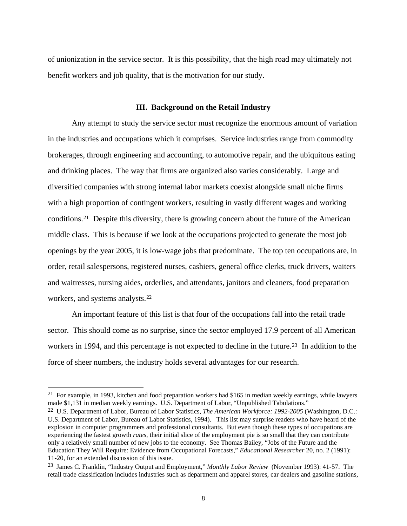of unionization in the service sector. It is this possibility, that the high road may ultimately not benefit workers and job quality, that is the motivation for our study.

## **III. Background on the Retail Industry**

 Any attempt to study the service sector must recognize the enormous amount of variation in the industries and occupations which it comprises. Service industries range from commodity brokerages, through engineering and accounting, to automotive repair, and the ubiquitous eating and drinking places. The way that firms are organized also varies considerably. Large and diversified companies with strong internal labor markets coexist alongside small niche firms with a high proportion of contingent workers, resulting in vastly different wages and working conditions.[21](#page-8-0) Despite this diversity, there is growing concern about the future of the American middle class. This is because if we look at the occupations projected to generate the most job openings by the year 2005, it is low-wage jobs that predominate. The top ten occupations are, in order, retail salespersons, registered nurses, cashiers, general office clerks, truck drivers, waiters and waitresses, nursing aides, orderlies, and attendants, janitors and cleaners, food preparation workers, and systems analysts.[22](#page-8-1)

 An important feature of this list is that four of the occupations fall into the retail trade sector. This should come as no surprise, since the sector employed 17.9 percent of all American workers in 1994, and this percentage is not expected to decline in the future.<sup>[23](#page-8-2)</sup> In addition to the force of sheer numbers, the industry holds several advantages for our research.

<span id="page-8-0"></span><sup>&</sup>lt;sup>21</sup> For example, in 1993, kitchen and food preparation workers had \$165 in median weekly earnings, while lawyers made \$1,131 in median weekly earnings. U.S. Department of Labor, "Unpublished Tabulations."

<span id="page-8-1"></span><sup>22</sup> U.S. Department of Labor, Bureau of Labor Statistics, *The American Workforce: 1992-2005* (Washington, D.C.: U.S. Department of Labor, Bureau of Labor Statistics, 1994). This list may surprise readers who have heard of the explosion in computer programmers and professional consultants. But even though these types of occupations are experiencing the fastest growth *rates*, their initial slice of the employment pie is so small that they can contribute only a relatively small number of new jobs to the economy. See Thomas Bailey, "Jobs of the Future and the Education They Will Require: Evidence from Occupational Forecasts," *Educational Researcher* 20, no. 2 (1991): 11-20, for an extended discussion of this issue.

<span id="page-8-2"></span><sup>23</sup> James C. Franklin, "Industry Output and Employment," *Monthly Labor Review* (November 1993): 41-57. The retail trade classification includes industries such as department and apparel stores, car dealers and gasoline stations,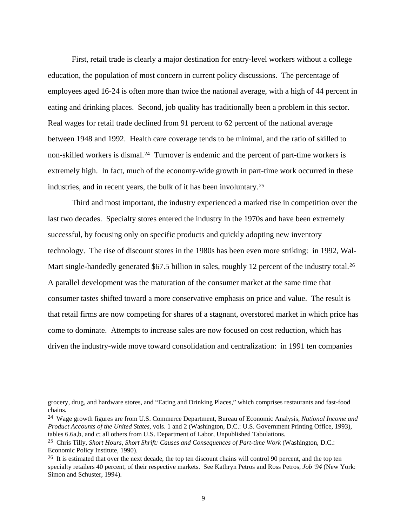First, retail trade is clearly a major destination for entry-level workers without a college education, the population of most concern in current policy discussions. The percentage of employees aged 16-24 is often more than twice the national average, with a high of 44 percent in eating and drinking places. Second, job quality has traditionally been a problem in this sector. Real wages for retail trade declined from 91 percent to 62 percent of the national average between 1948 and 1992. Health care coverage tends to be minimal, and the ratio of skilled to non-skilled workers is dismal.<sup>[24](#page-9-0)</sup> Turnover is endemic and the percent of part-time workers is extremely high. In fact, much of the economy-wide growth in part-time work occurred in these industries, and in recent years, the bulk of it has been involuntary.[25](#page-9-1)

 Third and most important, the industry experienced a marked rise in competition over the last two decades. Specialty stores entered the industry in the 1970s and have been extremely successful, by focusing only on specific products and quickly adopting new inventory technology. The rise of discount stores in the 1980s has been even more striking: in 1992, Wal-Mart single-handedly generated \$67.5 billion in sales, roughly 12 percent of the industry total.<sup>[26](#page-9-2)</sup> A parallel development was the maturation of the consumer market at the same time that consumer tastes shifted toward a more conservative emphasis on price and value. The result is that retail firms are now competing for shares of a stagnant, overstored market in which price has come to dominate. Attempts to increase sales are now focused on cost reduction, which has driven the industry-wide move toward consolidation and centralization: in 1991 ten companies

grocery, drug, and hardware stores, and "Eating and Drinking Places," which comprises restaurants and fast-food chains.

<span id="page-9-0"></span><sup>24</sup> Wage growth figures are from U.S. Commerce Department, Bureau of Economic Analysis, *National Income and Product Accounts of the United States*, vols. 1 and 2 (Washington, D.C.: U.S. Government Printing Office, 1993), tables 6.6a,b, and c; all others from U.S. Department of Labor, Unpublished Tabulations.

<span id="page-9-1"></span><sup>25</sup> Chris Tilly, *Short Hours, Short Shrift: Causes and Consequences of Part-time Work* (Washington, D.C.: Economic Policy Institute, 1990).

<span id="page-9-2"></span><sup>&</sup>lt;sup>26</sup> It is estimated that over the next decade, the top ten discount chains will control 90 percent, and the top ten specialty retailers 40 percent, of their respective markets. See Kathryn Petros and Ross Petros, *Job '94* (New York: Simon and Schuster, 1994).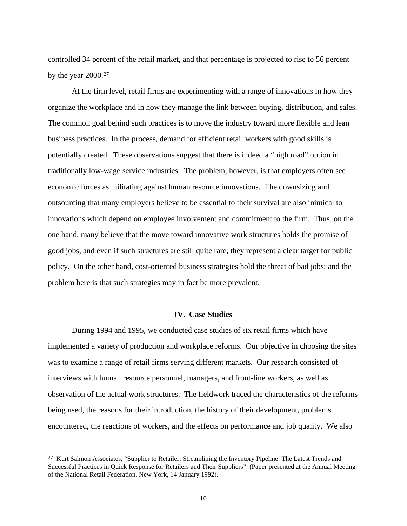controlled 34 percent of the retail market, and that percentage is projected to rise to 56 percent by the year 2000.[27](#page-10-0)

 At the firm level, retail firms are experimenting with a range of innovations in how they organize the workplace and in how they manage the link between buying, distribution, and sales. The common goal behind such practices is to move the industry toward more flexible and lean business practices. In the process, demand for efficient retail workers with good skills is potentially created. These observations suggest that there is indeed a "high road" option in traditionally low-wage service industries. The problem, however, is that employers often see economic forces as militating against human resource innovations. The downsizing and outsourcing that many employers believe to be essential to their survival are also inimical to innovations which depend on employee involvement and commitment to the firm. Thus, on the one hand, many believe that the move toward innovative work structures holds the promise of good jobs, and even if such structures are still quite rare, they represent a clear target for public policy. On the other hand, cost-oriented business strategies hold the threat of bad jobs; and the problem here is that such strategies may in fact be more prevalent.

# **IV. Case Studies**

 During 1994 and 1995, we conducted case studies of six retail firms which have implemented a variety of production and workplace reforms. Our objective in choosing the sites was to examine a range of retail firms serving different markets. Our research consisted of interviews with human resource personnel, managers, and front-line workers, as well as observation of the actual work structures. The fieldwork traced the characteristics of the reforms being used, the reasons for their introduction, the history of their development, problems encountered, the reactions of workers, and the effects on performance and job quality. We also

<span id="page-10-0"></span><sup>&</sup>lt;sup>27</sup> Kurt Salmon Associates, "Supplier to Retailer: Streamlining the Inventory Pipeline: The Latest Trends and Successful Practices in Quick Response for Retailers and Their Suppliers" (Paper presented at the Annual Meeting of the National Retail Federation, New York, 14 January 1992).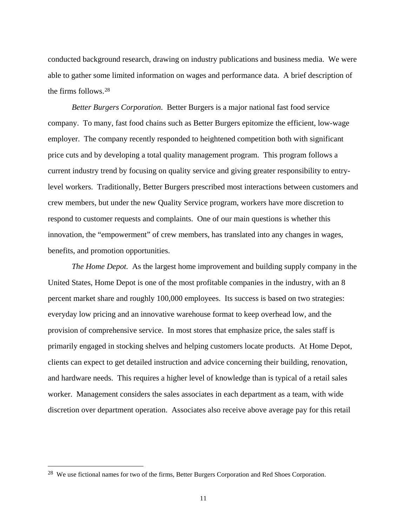conducted background research, drawing on industry publications and business media. We were able to gather some limited information on wages and performance data. A brief description of the firms follows.[28](#page-11-0)

 *Better Burgers Corporation*. Better Burgers is a major national fast food service company. To many, fast food chains such as Better Burgers epitomize the efficient, low-wage employer. The company recently responded to heightened competition both with significant price cuts and by developing a total quality management program. This program follows a current industry trend by focusing on quality service and giving greater responsibility to entrylevel workers. Traditionally, Better Burgers prescribed most interactions between customers and crew members, but under the new Quality Service program, workers have more discretion to respond to customer requests and complaints. One of our main questions is whether this innovation, the "empowerment" of crew members, has translated into any changes in wages, benefits, and promotion opportunities.

 *The Home Depot.* As the largest home improvement and building supply company in the United States, Home Depot is one of the most profitable companies in the industry, with an 8 percent market share and roughly 100,000 employees. Its success is based on two strategies: everyday low pricing and an innovative warehouse format to keep overhead low, and the provision of comprehensive service. In most stores that emphasize price, the sales staff is primarily engaged in stocking shelves and helping customers locate products. At Home Depot, clients can expect to get detailed instruction and advice concerning their building, renovation, and hardware needs. This requires a higher level of knowledge than is typical of a retail sales worker. Management considers the sales associates in each department as a team, with wide discretion over department operation. Associates also receive above average pay for this retail

<span id="page-11-0"></span><sup>&</sup>lt;sup>28</sup> We use fictional names for two of the firms, Better Burgers Corporation and Red Shoes Corporation.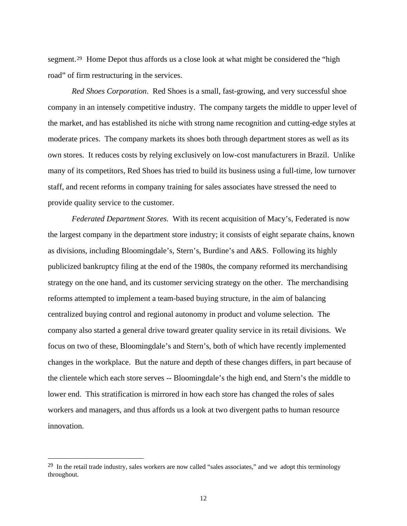segment.[29](#page-12-0) Home Depot thus affords us a close look at what might be considered the "high road" of firm restructuring in the services.

*Red Shoes Corporation*. Red Shoes is a small, fast-growing, and very successful shoe company in an intensely competitive industry. The company targets the middle to upper level of the market, and has established its niche with strong name recognition and cutting-edge styles at moderate prices. The company markets its shoes both through department stores as well as its own stores. It reduces costs by relying exclusively on low-cost manufacturers in Brazil. Unlike many of its competitors, Red Shoes has tried to build its business using a full-time, low turnover staff, and recent reforms in company training for sales associates have stressed the need to provide quality service to the customer.

*Federated Department Stores.* With its recent acquisition of Macy's, Federated is now the largest company in the department store industry; it consists of eight separate chains, known as divisions, including Bloomingdale's, Stern's, Burdine's and A&S. Following its highly publicized bankruptcy filing at the end of the 1980s, the company reformed its merchandising strategy on the one hand, and its customer servicing strategy on the other. The merchandising reforms attempted to implement a team-based buying structure, in the aim of balancing centralized buying control and regional autonomy in product and volume selection. The company also started a general drive toward greater quality service in its retail divisions. We focus on two of these, Bloomingdale's and Stern's, both of which have recently implemented changes in the workplace. But the nature and depth of these changes differs, in part because of the clientele which each store serves -- Bloomingdale's the high end, and Stern's the middle to lower end. This stratification is mirrored in how each store has changed the roles of sales workers and managers, and thus affords us a look at two divergent paths to human resource innovation.

<span id="page-12-0"></span><sup>&</sup>lt;sup>29</sup> In the retail trade industry, sales workers are now called "sales associates," and we adopt this terminology throughout.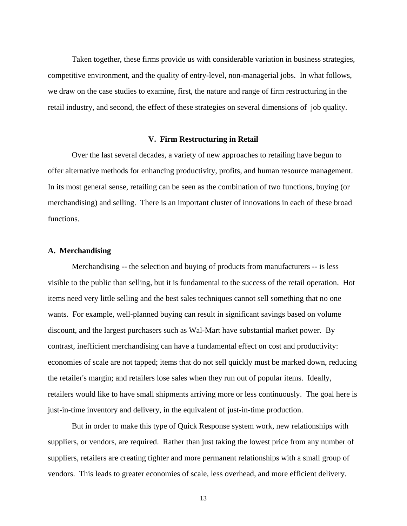Taken together, these firms provide us with considerable variation in business strategies, competitive environment, and the quality of entry-level, non-managerial jobs. In what follows, we draw on the case studies to examine, first, the nature and range of firm restructuring in the retail industry, and second, the effect of these strategies on several dimensions of job quality.

#### **V. Firm Restructuring in Retail**

 Over the last several decades, a variety of new approaches to retailing have begun to offer alternative methods for enhancing productivity, profits, and human resource management. In its most general sense, retailing can be seen as the combination of two functions, buying (or merchandising) and selling. There is an important cluster of innovations in each of these broad functions.

#### **A. Merchandising**

 Merchandising -- the selection and buying of products from manufacturers -- is less visible to the public than selling, but it is fundamental to the success of the retail operation. Hot items need very little selling and the best sales techniques cannot sell something that no one wants. For example, well-planned buying can result in significant savings based on volume discount, and the largest purchasers such as Wal-Mart have substantial market power. By contrast, inefficient merchandising can have a fundamental effect on cost and productivity: economies of scale are not tapped; items that do not sell quickly must be marked down, reducing the retailer's margin; and retailers lose sales when they run out of popular items. Ideally, retailers would like to have small shipments arriving more or less continuously. The goal here is just-in-time inventory and delivery, in the equivalent of just-in-time production.

 But in order to make this type of Quick Response system work, new relationships with suppliers, or vendors, are required. Rather than just taking the lowest price from any number of suppliers, retailers are creating tighter and more permanent relationships with a small group of vendors. This leads to greater economies of scale, less overhead, and more efficient delivery.

13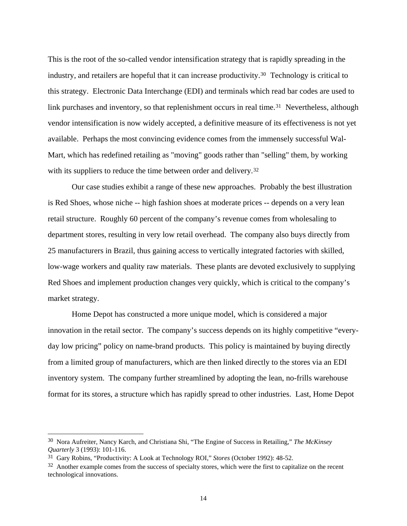This is the root of the so-called vendor intensification strategy that is rapidly spreading in the industry, and retailers are hopeful that it can increase productivity.[30](#page-14-0) Technology is critical to this strategy. Electronic Data Interchange (EDI) and terminals which read bar codes are used to link purchases and inventory, so that replenishment occurs in real time.<sup>[31](#page-14-1)</sup> Nevertheless, although vendor intensification is now widely accepted, a definitive measure of its effectiveness is not yet available. Perhaps the most convincing evidence comes from the immensely successful Wal-Mart, which has redefined retailing as "moving" goods rather than "selling" them, by working with its suppliers to reduce the time between order and delivery.<sup>[32](#page-14-2)</sup>

 Our case studies exhibit a range of these new approaches. Probably the best illustration is Red Shoes, whose niche -- high fashion shoes at moderate prices -- depends on a very lean retail structure. Roughly 60 percent of the company's revenue comes from wholesaling to department stores, resulting in very low retail overhead. The company also buys directly from 25 manufacturers in Brazil, thus gaining access to vertically integrated factories with skilled, low-wage workers and quality raw materials. These plants are devoted exclusively to supplying Red Shoes and implement production changes very quickly, which is critical to the company's market strategy.

 Home Depot has constructed a more unique model, which is considered a major innovation in the retail sector. The company's success depends on its highly competitive "everyday low pricing" policy on name-brand products. This policy is maintained by buying directly from a limited group of manufacturers, which are then linked directly to the stores via an EDI inventory system. The company further streamlined by adopting the lean, no-frills warehouse format for its stores, a structure which has rapidly spread to other industries. Last, Home Depot

<span id="page-14-0"></span><sup>30</sup> Nora Aufreiter, Nancy Karch, and Christiana Shi, "The Engine of Success in Retailing," *The McKinsey Quarterly* 3 (1993): 101-116.

<span id="page-14-1"></span><sup>31</sup> Gary Robins, "Productivity: A Look at Technology ROI," *Stores* (October 1992): 48-52.

<span id="page-14-2"></span><sup>&</sup>lt;sup>32</sup> Another example comes from the success of specialty stores, which were the first to capitalize on the recent technological innovations.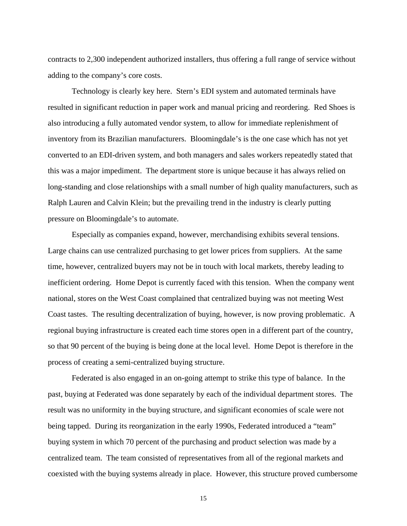contracts to 2,300 independent authorized installers, thus offering a full range of service without adding to the company's core costs.

 Technology is clearly key here. Stern's EDI system and automated terminals have resulted in significant reduction in paper work and manual pricing and reordering. Red Shoes is also introducing a fully automated vendor system, to allow for immediate replenishment of inventory from its Brazilian manufacturers. Bloomingdale's is the one case which has not yet converted to an EDI-driven system, and both managers and sales workers repeatedly stated that this was a major impediment. The department store is unique because it has always relied on long-standing and close relationships with a small number of high quality manufacturers, such as Ralph Lauren and Calvin Klein; but the prevailing trend in the industry is clearly putting pressure on Bloomingdale's to automate.

 Especially as companies expand, however, merchandising exhibits several tensions. Large chains can use centralized purchasing to get lower prices from suppliers. At the same time, however, centralized buyers may not be in touch with local markets, thereby leading to inefficient ordering. Home Depot is currently faced with this tension. When the company went national, stores on the West Coast complained that centralized buying was not meeting West Coast tastes. The resulting decentralization of buying, however, is now proving problematic. A regional buying infrastructure is created each time stores open in a different part of the country, so that 90 percent of the buying is being done at the local level. Home Depot is therefore in the process of creating a semi-centralized buying structure.

 Federated is also engaged in an on-going attempt to strike this type of balance. In the past, buying at Federated was done separately by each of the individual department stores. The result was no uniformity in the buying structure, and significant economies of scale were not being tapped. During its reorganization in the early 1990s, Federated introduced a "team" buying system in which 70 percent of the purchasing and product selection was made by a centralized team. The team consisted of representatives from all of the regional markets and coexisted with the buying systems already in place. However, this structure proved cumbersome

15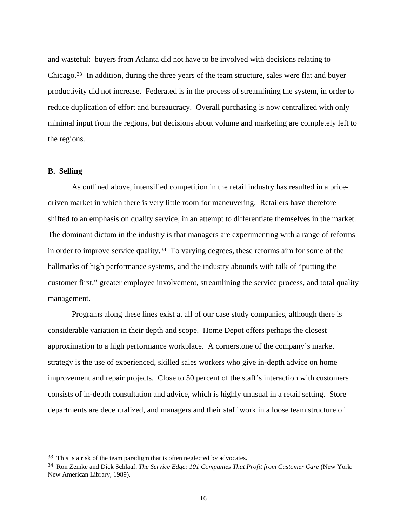and wasteful: buyers from Atlanta did not have to be involved with decisions relating to Chicago.[33](#page-16-0) In addition, during the three years of the team structure, sales were flat and buyer productivity did not increase. Federated is in the process of streamlining the system, in order to reduce duplication of effort and bureaucracy. Overall purchasing is now centralized with only minimal input from the regions, but decisions about volume and marketing are completely left to the regions.

# **B. Selling**

 $\overline{a}$ 

 As outlined above, intensified competition in the retail industry has resulted in a pricedriven market in which there is very little room for maneuvering. Retailers have therefore shifted to an emphasis on quality service, in an attempt to differentiate themselves in the market. The dominant dictum in the industry is that managers are experimenting with a range of reforms in order to improve service quality.[34](#page-16-1) To varying degrees, these reforms aim for some of the hallmarks of high performance systems, and the industry abounds with talk of "putting the customer first," greater employee involvement, streamlining the service process, and total quality management.

 Programs along these lines exist at all of our case study companies, although there is considerable variation in their depth and scope. Home Depot offers perhaps the closest approximation to a high performance workplace. A cornerstone of the company's market strategy is the use of experienced, skilled sales workers who give in-depth advice on home improvement and repair projects. Close to 50 percent of the staff's interaction with customers consists of in-depth consultation and advice, which is highly unusual in a retail setting. Store departments are decentralized, and managers and their staff work in a loose team structure of

<span id="page-16-0"></span><sup>&</sup>lt;sup>33</sup> This is a risk of the team paradigm that is often neglected by advocates.

<span id="page-16-1"></span><sup>34</sup> Ron Zemke and Dick Schlaaf, *The Service Edge: 101 Companies That Profit from Customer Care* (New York: New American Library, 1989).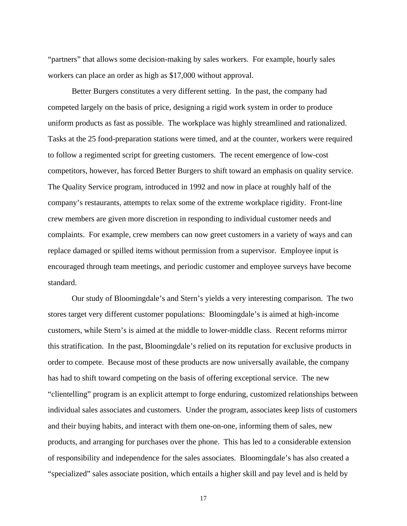"partners" that allows some decision-making by sales workers. For example, hourly sales workers can place an order as high as \$17,000 without approval.

 Better Burgers constitutes a very different setting. In the past, the company had competed largely on the basis of price, designing a rigid work system in order to produce uniform products as fast as possible. The workplace was highly streamlined and rationalized. Tasks at the 25 food-preparation stations were timed, and at the counter, workers were required to follow a regimented script for greeting customers. The recent emergence of low-cost competitors, however, has forced Better Burgers to shift toward an emphasis on quality service. The Quality Service program, introduced in 1992 and now in place at roughly half of the company's restaurants, attempts to relax some of the extreme workplace rigidity. Front-line crew members are given more discretion in responding to individual customer needs and complaints. For example, crew members can now greet customers in a variety of ways and can replace damaged or spilled items without permission from a supervisor. Employee input is encouraged through team meetings, and periodic customer and employee surveys have become standard.

 Our study of Bloomingdale's and Stern's yields a very interesting comparison. The two stores target very different customer populations: Bloomingdale's is aimed at high-income customers, while Stern's is aimed at the middle to lower-middle class. Recent reforms mirror this stratification. In the past, Bloomingdale's relied on its reputation for exclusive products in order to compete. Because most of these products are now universally available, the company has had to shift toward competing on the basis of offering exceptional service. The new "clientelling" program is an explicit attempt to forge enduring, customized relationships between individual sales associates and customers. Under the program, associates keep lists of customers and their buying habits, and interact with them one-on-one, informing them of sales, new products, and arranging for purchases over the phone. This has led to a considerable extension of responsibility and independence for the sales associates. Bloomingdale's has also created a "specialized" sales associate position, which entails a higher skill and pay level and is held by

17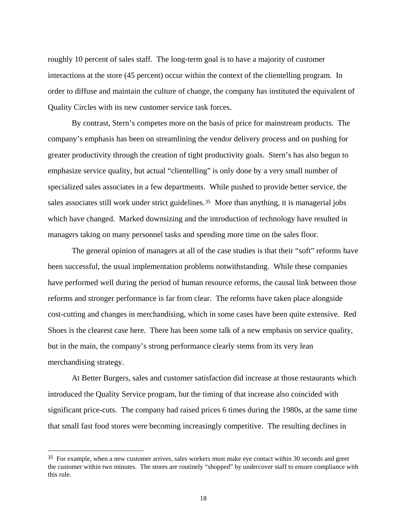roughly 10 percent of sales staff. The long-term goal is to have a majority of customer interactions at the store (45 percent) occur within the context of the clientelling program. In order to diffuse and maintain the culture of change, the company has instituted the equivalent of Quality Circles with its new customer service task forces.

 By contrast, Stern's competes more on the basis of price for mainstream products. The company's emphasis has been on streamlining the vendor delivery process and on pushing for greater productivity through the creation of tight productivity goals. Stern's has also begun to emphasize service quality, but actual "clientelling" is only done by a very small number of specialized sales associates in a few departments. While pushed to provide better service, the sales associates still work under strict guidelines.<sup>[35](#page-18-0)</sup> More than anything, it is managerial jobs which have changed. Marked downsizing and the introduction of technology have resulted in managers taking on many personnel tasks and spending more time on the sales floor.

 The general opinion of managers at all of the case studies is that their "soft" reforms have been successful, the usual implementation problems notwithstanding. While these companies have performed well during the period of human resource reforms, the causal link between those reforms and stronger performance is far from clear. The reforms have taken place alongside cost-cutting and changes in merchandising, which in some cases have been quite extensive. Red Shoes is the clearest case here. There has been some talk of a new emphasis on service quality, but in the main, the company's strong performance clearly stems from its very lean merchandising strategy.

 At Better Burgers, sales and customer satisfaction did increase at those restaurants which introduced the Quality Service program, but the timing of that increase also coincided with significant price-cuts. The company had raised prices 6 times during the 1980s, at the same time that small fast food stores were becoming increasingly competitive. The resulting declines in

<span id="page-18-0"></span><sup>&</sup>lt;sup>35</sup> For example, when a new customer arrives, sales workers must make eye contact within 30 seconds and greet the customer within two minutes. The stores are routinely "shopped" by undercover staff to ensure compliance with this rule.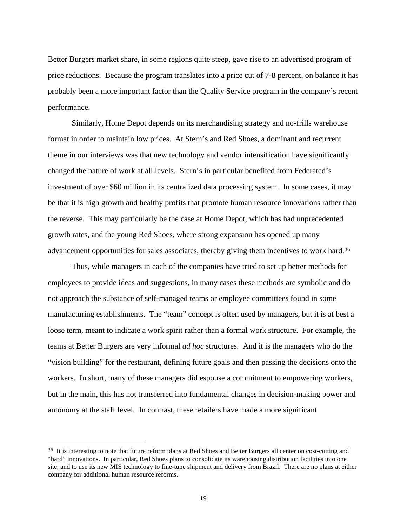Better Burgers market share, in some regions quite steep, gave rise to an advertised program of price reductions. Because the program translates into a price cut of 7-8 percent, on balance it has probably been a more important factor than the Quality Service program in the company's recent performance.

 Similarly, Home Depot depends on its merchandising strategy and no-frills warehouse format in order to maintain low prices. At Stern's and Red Shoes, a dominant and recurrent theme in our interviews was that new technology and vendor intensification have significantly changed the nature of work at all levels. Stern's in particular benefited from Federated's investment of over \$60 million in its centralized data processing system. In some cases, it may be that it is high growth and healthy profits that promote human resource innovations rather than the reverse. This may particularly be the case at Home Depot, which has had unprecedented growth rates, and the young Red Shoes, where strong expansion has opened up many advancement opportunities for sales associates, thereby giving them incentives to work hard.[36](#page-19-0)

 Thus, while managers in each of the companies have tried to set up better methods for employees to provide ideas and suggestions, in many cases these methods are symbolic and do not approach the substance of self-managed teams or employee committees found in some manufacturing establishments. The "team" concept is often used by managers, but it is at best a loose term, meant to indicate a work spirit rather than a formal work structure. For example, the teams at Better Burgers are very informal *ad hoc* structures. And it is the managers who do the "vision building" for the restaurant, defining future goals and then passing the decisions onto the workers. In short, many of these managers did espouse a commitment to empowering workers, but in the main, this has not transferred into fundamental changes in decision-making power and autonomy at the staff level. In contrast, these retailers have made a more significant

<span id="page-19-0"></span><sup>&</sup>lt;sup>36</sup> It is interesting to note that future reform plans at Red Shoes and Better Burgers all center on cost-cutting and "hard" innovations. In particular, Red Shoes plans to consolidate its warehousing distribution facilities into one site, and to use its new MIS technology to fine-tune shipment and delivery from Brazil. There are no plans at either company for additional human resource reforms.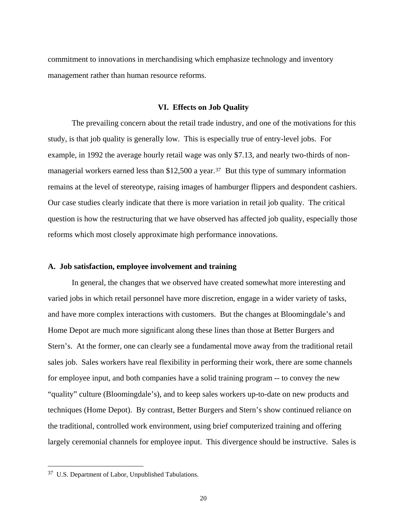commitment to innovations in merchandising which emphasize technology and inventory management rather than human resource reforms.

#### **VI. Effects on Job Quality**

 The prevailing concern about the retail trade industry, and one of the motivations for this study, is that job quality is generally low. This is especially true of entry-level jobs. For example, in 1992 the average hourly retail wage was only \$7.13, and nearly two-thirds of non-managerial workers earned less than \$12,500 a year.<sup>[37](#page-20-0)</sup> But this type of summary information remains at the level of stereotype, raising images of hamburger flippers and despondent cashiers. Our case studies clearly indicate that there is more variation in retail job quality. The critical question is how the restructuring that we have observed has affected job quality, especially those reforms which most closely approximate high performance innovations.

# **A. Job satisfaction, employee involvement and training**

 In general, the changes that we observed have created somewhat more interesting and varied jobs in which retail personnel have more discretion, engage in a wider variety of tasks, and have more complex interactions with customers. But the changes at Bloomingdale's and Home Depot are much more significant along these lines than those at Better Burgers and Stern's. At the former, one can clearly see a fundamental move away from the traditional retail sales job. Sales workers have real flexibility in performing their work, there are some channels for employee input, and both companies have a solid training program -- to convey the new "quality" culture (Bloomingdale's), and to keep sales workers up-to-date on new products and techniques (Home Depot). By contrast, Better Burgers and Stern's show continued reliance on the traditional, controlled work environment, using brief computerized training and offering largely ceremonial channels for employee input. This divergence should be instructive. Sales is

<span id="page-20-0"></span><sup>37</sup> U.S. Department of Labor, Unpublished Tabulations.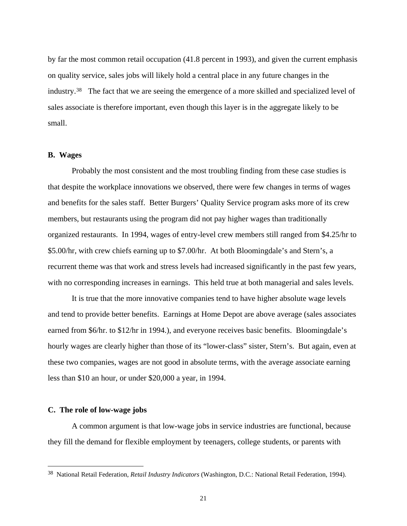by far the most common retail occupation (41.8 percent in 1993), and given the current emphasis on quality service, sales jobs will likely hold a central place in any future changes in the industry.[38](#page-21-0) The fact that we are seeing the emergence of a more skilled and specialized level of sales associate is therefore important, even though this layer is in the aggregate likely to be small.

# **B. Wages**

 Probably the most consistent and the most troubling finding from these case studies is that despite the workplace innovations we observed, there were few changes in terms of wages and benefits for the sales staff. Better Burgers' Quality Service program asks more of its crew members, but restaurants using the program did not pay higher wages than traditionally organized restaurants. In 1994, wages of entry-level crew members still ranged from \$4.25/hr to \$5.00/hr, with crew chiefs earning up to \$7.00/hr. At both Bloomingdale's and Stern's, a recurrent theme was that work and stress levels had increased significantly in the past few years, with no corresponding increases in earnings. This held true at both managerial and sales levels.

 It is true that the more innovative companies tend to have higher absolute wage levels and tend to provide better benefits. Earnings at Home Depot are above average (sales associates earned from \$6/hr. to \$12/hr in 1994.), and everyone receives basic benefits. Bloomingdale's hourly wages are clearly higher than those of its "lower-class" sister, Stern's. But again, even at these two companies, wages are not good in absolute terms, with the average associate earning less than \$10 an hour, or under \$20,000 a year, in 1994.

### **C. The role of low-wage jobs**

 $\overline{a}$ 

 A common argument is that low-wage jobs in service industries are functional, because they fill the demand for flexible employment by teenagers, college students, or parents with

<span id="page-21-0"></span><sup>38</sup> National Retail Federation, *Retail Industry Indicators* (Washington, D.C.: National Retail Federation, 1994).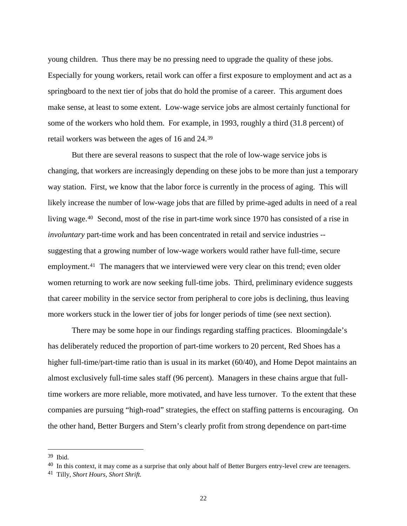young children. Thus there may be no pressing need to upgrade the quality of these jobs. Especially for young workers, retail work can offer a first exposure to employment and act as a springboard to the next tier of jobs that do hold the promise of a career. This argument does make sense, at least to some extent. Low-wage service jobs are almost certainly functional for some of the workers who hold them. For example, in 1993, roughly a third (31.8 percent) of retail workers was between the ages of 16 and 24.[39](#page-22-0)

 But there are several reasons to suspect that the role of low-wage service jobs is changing, that workers are increasingly depending on these jobs to be more than just a temporary way station. First, we know that the labor force is currently in the process of aging. This will likely increase the number of low-wage jobs that are filled by prime-aged adults in need of a real living wage.[40](#page-22-1) Second, most of the rise in part-time work since 1970 has consisted of a rise in *involuntary* part-time work and has been concentrated in retail and service industries - suggesting that a growing number of low-wage workers would rather have full-time, secure employment.<sup>[41](#page-22-2)</sup> The managers that we interviewed were very clear on this trend; even older women returning to work are now seeking full-time jobs. Third, preliminary evidence suggests that career mobility in the service sector from peripheral to core jobs is declining, thus leaving more workers stuck in the lower tier of jobs for longer periods of time (see next section).

 There may be some hope in our findings regarding staffing practices. Bloomingdale's has deliberately reduced the proportion of part-time workers to 20 percent, Red Shoes has a higher full-time/part-time ratio than is usual in its market (60/40), and Home Depot maintains an almost exclusively full-time sales staff (96 percent). Managers in these chains argue that fulltime workers are more reliable, more motivated, and have less turnover. To the extent that these companies are pursuing "high-road" strategies, the effect on staffing patterns is encouraging. On the other hand, Better Burgers and Stern's clearly profit from strong dependence on part-time

<span id="page-22-0"></span><sup>39</sup> Ibid.

<span id="page-22-1"></span><sup>&</sup>lt;sup>40</sup> In this context, it may come as a surprise that only about half of Better Burgers entry-level crew are teenagers.

<span id="page-22-2"></span><sup>41</sup> Tilly, *Short Hours, Short Shrift.*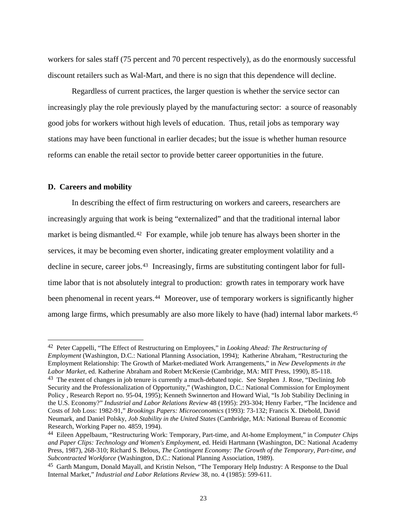workers for sales staff (75 percent and 70 percent respectively), as do the enormously successful discount retailers such as Wal-Mart, and there is no sign that this dependence will decline.

 Regardless of current practices, the larger question is whether the service sector can increasingly play the role previously played by the manufacturing sector: a source of reasonably good jobs for workers without high levels of education. Thus, retail jobs as temporary way stations may have been functional in earlier decades; but the issue is whether human resource reforms can enable the retail sector to provide better career opportunities in the future.

## **D. Careers and mobility**

 $\overline{a}$ 

 In describing the effect of firm restructuring on workers and careers, researchers are increasingly arguing that work is being "externalized" and that the traditional internal labor market is being dismantled.[42](#page-23-0) For example, while job tenure has always been shorter in the services, it may be becoming even shorter, indicating greater employment volatility and a decline in secure, career jobs.<sup>[43](#page-23-1)</sup> Increasingly, firms are substituting contingent labor for fulltime labor that is not absolutely integral to production: growth rates in temporary work have been phenomenal in recent years.<sup>[44](#page-23-2)</sup> Moreover, use of temporary workers is significantly higher among large firms, which presumably are also more likely to have (had) internal labor markets.<sup>[45](#page-23-3)</sup>

<span id="page-23-1"></span><span id="page-23-0"></span><sup>42</sup> Peter Cappelli, "The Effect of Restructuring on Employees," in *Looking Ahead: The Restructuring of Employment* (Washington, D.C.: National Planning Association, 1994); Katherine Abraham, "Restructuring the Employment Relationship: The Growth of Market-mediated Work Arrangements," in *New Developments in the Labor Market*, ed. Katherine Abraham and Robert McKersie (Cambridge, MA: MIT Press, 1990), 85-118. <sup>43</sup> The extent of changes in job tenure is currently a much-debated topic. See Stephen J. Rose, "Declining Job Security and the Professionalization of Opportunity," (Washington, D.C.: National Commission for Employment Policy , Research Report no. 95-04, 1995); Kenneth Swinnerton and Howard Wial, "Is Job Stability Declining in the U.S. Economy?" *Industrial and Labor Relations Review* 48 (1995): 293-304; Henry Farber, "The Incidence and Costs of Job Loss: 1982-91," *Brookings Papers: Microeconomics* (1993): 73-132; Francis X. Diebold, David Neumark, and Daniel Polsky, *Job Stability in the United States* (Cambridge, MA: National Bureau of Economic Research, Working Paper no. 4859, 1994).

<span id="page-23-2"></span><sup>44</sup> Eileen Appelbaum, "Restructuring Work: Temporary, Part-time, and At-home Employment," in *Computer Chips and Paper Clips: Technology and Women's Employment*, ed. Heidi Hartmann (Washington, DC: National Academy Press, 1987), 268-310; Richard S. Belous, *The Contingent Economy: The Growth of the Temporary, Part-time, and Subcontracted Workforce* (Washington, D.C.: National Planning Association, 1989).

<span id="page-23-3"></span><sup>45</sup> Garth Mangum, Donald Mayall, and Kristin Nelson, "The Temporary Help Industry: A Response to the Dual Internal Market," *Industrial and Labor Relations Review* 38, no. 4 (1985): 599-611.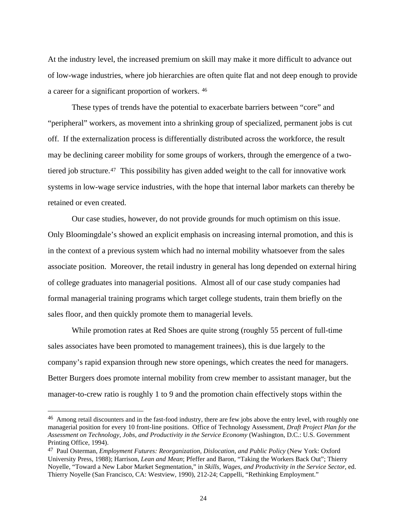At the industry level, the increased premium on skill may make it more difficult to advance out of low-wage industries, where job hierarchies are often quite flat and not deep enough to provide a career for a significant proportion of workers. [46](#page-24-0)

 These types of trends have the potential to exacerbate barriers between "core" and "peripheral" workers, as movement into a shrinking group of specialized, permanent jobs is cut off. If the externalization process is differentially distributed across the workforce, the result may be declining career mobility for some groups of workers, through the emergence of a twotiered job structure.[47](#page-24-1) This possibility has given added weight to the call for innovative work systems in low-wage service industries, with the hope that internal labor markets can thereby be retained or even created.

 Our case studies, however, do not provide grounds for much optimism on this issue. Only Bloomingdale's showed an explicit emphasis on increasing internal promotion, and this is in the context of a previous system which had no internal mobility whatsoever from the sales associate position. Moreover, the retail industry in general has long depended on external hiring of college graduates into managerial positions. Almost all of our case study companies had formal managerial training programs which target college students, train them briefly on the sales floor, and then quickly promote them to managerial levels.

 While promotion rates at Red Shoes are quite strong (roughly 55 percent of full-time sales associates have been promoted to management trainees), this is due largely to the company's rapid expansion through new store openings, which creates the need for managers. Better Burgers does promote internal mobility from crew member to assistant manager, but the manager-to-crew ratio is roughly 1 to 9 and the promotion chain effectively stops within the

<span id="page-24-0"></span><sup>&</sup>lt;sup>46</sup> Among retail discounters and in the fast-food industry, there are few jobs above the entry level, with roughly one managerial position for every 10 front-line positions. Office of Technology Assessment, *Draft Project Plan for the Assessment on Technology, Jobs, and Productivity in the Service Economy* (Washington, D.C.: U.S. Government Printing Office, 1994).

<span id="page-24-1"></span><sup>47</sup> Paul Osterman, *Employment Futures: Reorganization, Dislocation, and Public Policy* (New York: Oxford University Press, 1988); Harrison, *Lean and Mean*; Pfeffer and Baron, "Taking the Workers Back Out"; Thierry Noyelle, "Toward a New Labor Market Segmentation," in *Skills, Wages, and Productivity in the Service Sector*, ed. Thierry Noyelle (San Francisco, CA: Westview, 1990), 212-24; Cappelli, "Rethinking Employment."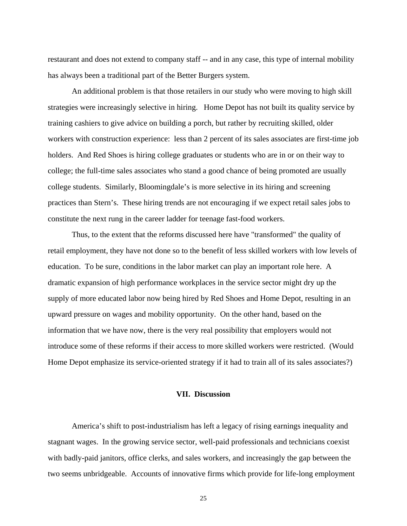restaurant and does not extend to company staff -- and in any case, this type of internal mobility has always been a traditional part of the Better Burgers system.

 An additional problem is that those retailers in our study who were moving to high skill strategies were increasingly selective in hiring. Home Depot has not built its quality service by training cashiers to give advice on building a porch, but rather by recruiting skilled, older workers with construction experience: less than 2 percent of its sales associates are first-time job holders. And Red Shoes is hiring college graduates or students who are in or on their way to college; the full-time sales associates who stand a good chance of being promoted are usually college students. Similarly, Bloomingdale's is more selective in its hiring and screening practices than Stern's. These hiring trends are not encouraging if we expect retail sales jobs to constitute the next rung in the career ladder for teenage fast-food workers.

 Thus, to the extent that the reforms discussed here have "transformed" the quality of retail employment, they have not done so to the benefit of less skilled workers with low levels of education. To be sure, conditions in the labor market can play an important role here. A dramatic expansion of high performance workplaces in the service sector might dry up the supply of more educated labor now being hired by Red Shoes and Home Depot, resulting in an upward pressure on wages and mobility opportunity. On the other hand, based on the information that we have now, there is the very real possibility that employers would not introduce some of these reforms if their access to more skilled workers were restricted. (Would Home Depot emphasize its service-oriented strategy if it had to train all of its sales associates?)

# **VII. Discussion**

 America's shift to post-industrialism has left a legacy of rising earnings inequality and stagnant wages. In the growing service sector, well-paid professionals and technicians coexist with badly-paid janitors, office clerks, and sales workers, and increasingly the gap between the two seems unbridgeable. Accounts of innovative firms which provide for life-long employment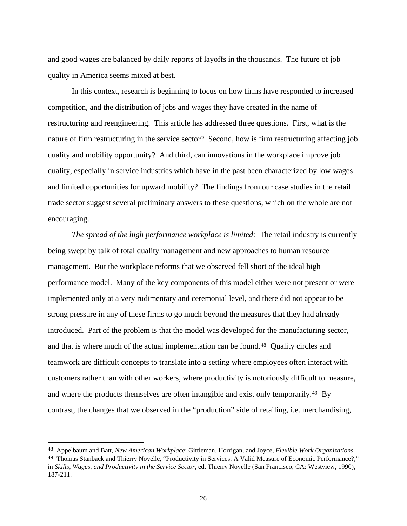and good wages are balanced by daily reports of layoffs in the thousands. The future of job quality in America seems mixed at best.

 In this context, research is beginning to focus on how firms have responded to increased competition, and the distribution of jobs and wages they have created in the name of restructuring and reengineering. This article has addressed three questions. First, what is the nature of firm restructuring in the service sector? Second, how is firm restructuring affecting job quality and mobility opportunity? And third, can innovations in the workplace improve job quality, especially in service industries which have in the past been characterized by low wages and limited opportunities for upward mobility? The findings from our case studies in the retail trade sector suggest several preliminary answers to these questions, which on the whole are not encouraging.

*The spread of the high performance workplace is limited:* The retail industry is currently being swept by talk of total quality management and new approaches to human resource management. But the workplace reforms that we observed fell short of the ideal high performance model. Many of the key components of this model either were not present or were implemented only at a very rudimentary and ceremonial level, and there did not appear to be strong pressure in any of these firms to go much beyond the measures that they had already introduced. Part of the problem is that the model was developed for the manufacturing sector, and that is where much of the actual implementation can be found.[48](#page-26-0) Quality circles and teamwork are difficult concepts to translate into a setting where employees often interact with customers rather than with other workers, where productivity is notoriously difficult to measure, and where the products themselves are often intangible and exist only temporarily.[49](#page-26-1) By contrast, the changes that we observed in the "production" side of retailing, i.e. merchandising,

<span id="page-26-0"></span><sup>&</sup>lt;sup>48</sup> Appelbaum and Batt, New American Workplace; Gittleman, Horrigan, and Joyce, Flexible Work Organizations.<br><sup>49</sup> Thomas Stanback and Thierry Noyelle, "Productivity in Services: A Valid Measure of Economic Performance?,"

<span id="page-26-1"></span>in *Skills, Wages, and Productivity in the Service Sector*, ed. Thierry Noyelle (San Francisco, CA: Westview, 1990), 187-211.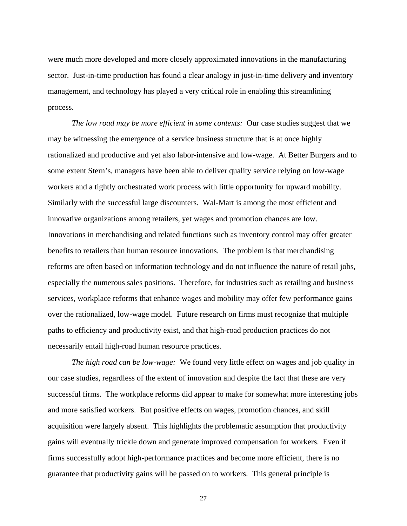were much more developed and more closely approximated innovations in the manufacturing sector. Just-in-time production has found a clear analogy in just-in-time delivery and inventory management, and technology has played a very critical role in enabling this streamlining process.

*The low road may be more efficient in some contexts:* Our case studies suggest that we may be witnessing the emergence of a service business structure that is at once highly rationalized and productive and yet also labor-intensive and low-wage. At Better Burgers and to some extent Stern's, managers have been able to deliver quality service relying on low-wage workers and a tightly orchestrated work process with little opportunity for upward mobility. Similarly with the successful large discounters. Wal-Mart is among the most efficient and innovative organizations among retailers, yet wages and promotion chances are low. Innovations in merchandising and related functions such as inventory control may offer greater benefits to retailers than human resource innovations. The problem is that merchandising reforms are often based on information technology and do not influence the nature of retail jobs, especially the numerous sales positions. Therefore, for industries such as retailing and business services, workplace reforms that enhance wages and mobility may offer few performance gains over the rationalized, low-wage model. Future research on firms must recognize that multiple paths to efficiency and productivity exist, and that high-road production practices do not necessarily entail high-road human resource practices.

*The high road can be low-wage:* We found very little effect on wages and job quality in our case studies, regardless of the extent of innovation and despite the fact that these are very successful firms. The workplace reforms did appear to make for somewhat more interesting jobs and more satisfied workers. But positive effects on wages, promotion chances, and skill acquisition were largely absent. This highlights the problematic assumption that productivity gains will eventually trickle down and generate improved compensation for workers. Even if firms successfully adopt high-performance practices and become more efficient, there is no guarantee that productivity gains will be passed on to workers. This general principle is

27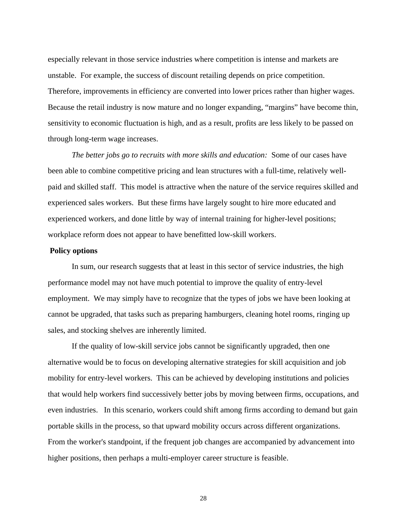especially relevant in those service industries where competition is intense and markets are unstable. For example, the success of discount retailing depends on price competition. Therefore, improvements in efficiency are converted into lower prices rather than higher wages. Because the retail industry is now mature and no longer expanding, "margins" have become thin, sensitivity to economic fluctuation is high, and as a result, profits are less likely to be passed on through long-term wage increases.

*The better jobs go to recruits with more skills and education:* Some of our cases have been able to combine competitive pricing and lean structures with a full-time, relatively wellpaid and skilled staff. This model is attractive when the nature of the service requires skilled and experienced sales workers. But these firms have largely sought to hire more educated and experienced workers, and done little by way of internal training for higher-level positions; workplace reform does not appear to have benefitted low-skill workers.

#### **Policy options**

 In sum, our research suggests that at least in this sector of service industries, the high performance model may not have much potential to improve the quality of entry-level employment. We may simply have to recognize that the types of jobs we have been looking at cannot be upgraded, that tasks such as preparing hamburgers, cleaning hotel rooms, ringing up sales, and stocking shelves are inherently limited.

 If the quality of low-skill service jobs cannot be significantly upgraded, then one alternative would be to focus on developing alternative strategies for skill acquisition and job mobility for entry-level workers. This can be achieved by developing institutions and policies that would help workers find successively better jobs by moving between firms, occupations, and even industries. In this scenario, workers could shift among firms according to demand but gain portable skills in the process, so that upward mobility occurs across different organizations. From the worker's standpoint, if the frequent job changes are accompanied by advancement into higher positions, then perhaps a multi-employer career structure is feasible.

28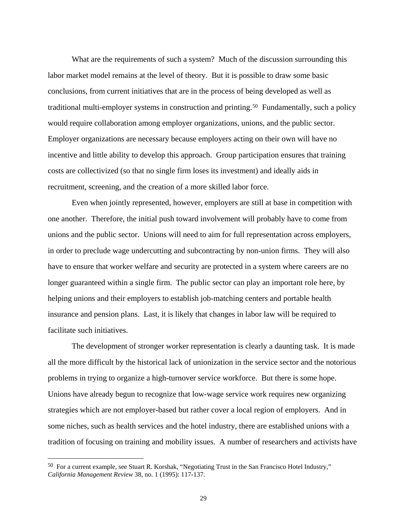What are the requirements of such a system? Much of the discussion surrounding this labor market model remains at the level of theory. But it is possible to draw some basic conclusions, from current initiatives that are in the process of being developed as well as traditional multi-employer systems in construction and printing.[50](#page-29-0) Fundamentally, such a policy would require collaboration among employer organizations, unions, and the public sector. Employer organizations are necessary because employers acting on their own will have no incentive and little ability to develop this approach. Group participation ensures that training costs are collectivized (so that no single firm loses its investment) and ideally aids in recruitment, screening, and the creation of a more skilled labor force.

 Even when jointly represented, however, employers are still at base in competition with one another. Therefore, the initial push toward involvement will probably have to come from unions and the public sector. Unions will need to aim for full representation across employers, in order to preclude wage undercutting and subcontracting by non-union firms. They will also have to ensure that worker welfare and security are protected in a system where careers are no longer guaranteed within a single firm. The public sector can play an important role here, by helping unions and their employers to establish job-matching centers and portable health insurance and pension plans. Last, it is likely that changes in labor law will be required to facilitate such initiatives.

 The development of stronger worker representation is clearly a daunting task. It is made all the more difficult by the historical lack of unionization in the service sector and the notorious problems in trying to organize a high-turnover service workforce. But there is some hope. Unions have already begun to recognize that low-wage service work requires new organizing strategies which are not employer-based but rather cover a local region of employers. And in some niches, such as health services and the hotel industry, there are established unions with a tradition of focusing on training and mobility issues. A number of researchers and activists have

<span id="page-29-0"></span><sup>50</sup> For a current example, see Stuart R. Korshak, "Negotiating Trust in the San Francisco Hotel Industry," *California Management Review* 38, no. 1 (1995): 117-137.